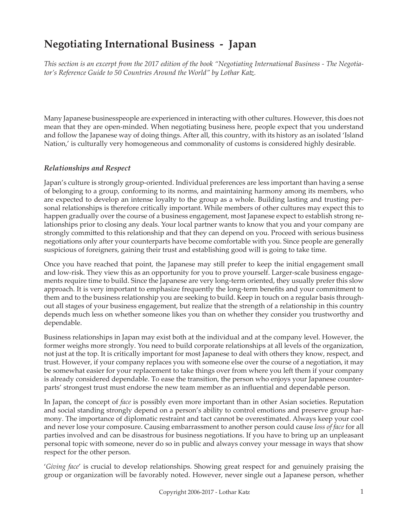# **Negotiating International Business - Japan**

*This section is an excerpt from the 2017 edition of the book "Negotiating International Business - The Negotiator's Reference Guide to 50 Countries Around the World" by Lothar Katz.*

Many Japanese businesspeople are experienced in interacting with other cultures. However, this does not mean that they are open-minded. When negotiating business here, people expect that you understand and follow the Japanese way of doing things. After all, this country, with its history as an isolated 'Island Nation,' is culturally very homogeneous and commonality of customs is considered highly desirable.

### *Relationships and Respect*

Japan's culture is strongly group-oriented. Individual preferences are less important than having a sense of belonging to a group, conforming to its norms, and maintaining harmony among its members, who are expected to develop an intense loyalty to the group as a whole. Building lasting and trusting personal relationships is therefore critically important. While members of other cultures may expect this to happen gradually over the course of a business engagement, most Japanese expect to establish strong relationships prior to closing any deals. Your local partner wants to know that you and your company are strongly committed to this relationship and that they can depend on you. Proceed with serious business negotiations only after your counterparts have become comfortable with you. Since people are generally suspicious of foreigners, gaining their trust and establishing good will is going to take time.

Once you have reached that point, the Japanese may still prefer to keep the initial engagement small and low-risk. They view this as an opportunity for you to prove yourself. Larger-scale business engagements require time to build. Since the Japanese are very long-term oriented, they usually prefer this slow approach. It is very important to emphasize frequently the long-term benefits and your commitment to them and to the business relationship you are seeking to build. Keep in touch on a regular basis throughout all stages of your business engagement, but realize that the strength of a relationship in this country depends much less on whether someone likes you than on whether they consider you trustworthy and dependable.

Business relationships in Japan may exist both at the individual and at the company level. However, the former weighs more strongly. You need to build corporate relationships at all levels of the organization, not just at the top. It is critically important for most Japanese to deal with others they know, respect, and trust. However, if your company replaces you with someone else over the course of a negotiation, it may be somewhat easier for your replacement to take things over from where you left them if your company is already considered dependable. To ease the transition, the person who enjoys your Japanese counterparts' strongest trust must endorse the new team member as an influential and dependable person.

In Japan, the concept of *face* is possibly even more important than in other Asian societies. Reputation and social standing strongly depend on a person's ability to control emotions and preserve group harmony. The importance of diplomatic restraint and tact cannot be overestimated. Always keep your cool and never lose your composure. Causing embarrassment to another person could cause *loss of face* for all parties involved and can be disastrous for business negotiations. If you have to bring up an unpleasant personal topic with someone, never do so in public and always convey your message in ways that show respect for the other person.

'*Giving face*' is crucial to develop relationships. Showing great respect for and genuinely praising the group or organization will be favorably noted. However, never single out a Japanese person, whether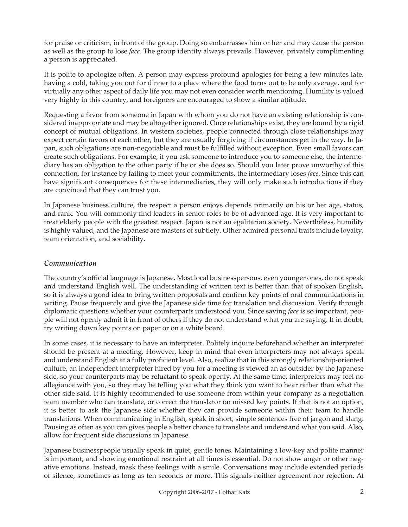for praise or criticism, in front of the group. Doing so embarrasses him or her and may cause the person as well as the group to lose *face*. The group identity always prevails. However, privately complimenting a person is appreciated.

It is polite to apologize often. A person may express profound apologies for being a few minutes late, having a cold, taking you out for dinner to a place where the food turns out to be only average, and for virtually any other aspect of daily life you may not even consider worth mentioning. Humility is valued very highly in this country, and foreigners are encouraged to show a similar attitude.

Requesting a favor from someone in Japan with whom you do not have an existing relationship is considered inappropriate and may be altogether ignored. Once relationships exist, they are bound by a rigid concept of mutual obligations. In western societies, people connected through close relationships may expect certain favors of each other, but they are usually forgiving if circumstances get in the way. In Japan, such obligations are non-negotiable and must be fulfilled without exception. Even small favors can create such obligations. For example, if you ask someone to introduce you to someone else, the intermediary has an obligation to the other party if he or she does so. Should you later prove unworthy of this connection, for instance by failing to meet your commitments, the intermediary loses *face*. Since this can have significant consequences for these intermediaries, they will only make such introductions if they are convinced that they can trust you.

In Japanese business culture, the respect a person enjoys depends primarily on his or her age, status, and rank. You will commonly find leaders in senior roles to be of advanced age. It is very important to treat elderly people with the greatest respect. Japan is not an egalitarian society. Nevertheless, humility is highly valued, and the Japanese are masters of subtlety. Other admired personal traits include loyalty, team orientation, and sociability.

## *Communication*

The country's official language is Japanese. Most local businesspersons, even younger ones, do not speak and understand English well. The understanding of written text is better than that of spoken English, so it is always a good idea to bring written proposals and confirm key points of oral communications in writing. Pause frequently and give the Japanese side time for translation and discussion. Verify through diplomatic questions whether your counterparts understood you. Since saving *face* is so important, people will not openly admit it in front of others if they do not understand what you are saying. If in doubt, try writing down key points on paper or on a white board.

In some cases, it is necessary to have an interpreter. Politely inquire beforehand whether an interpreter should be present at a meeting. However, keep in mind that even interpreters may not always speak and understand English at a fully proficient level. Also, realize that in this strongly relationship-oriented culture, an independent interpreter hired by you for a meeting is viewed an as outsider by the Japanese side, so your counterparts may be reluctant to speak openly. At the same time, interpreters may feel no allegiance with you, so they may be telling you what they think you want to hear rather than what the other side said. It is highly recommended to use someone from within your company as a negotiation team member who can translate, or correct the translator on missed key points. If that is not an option, it is better to ask the Japanese side whether they can provide someone within their team to handle translations. When communicating in English, speak in short, simple sentences free of jargon and slang. Pausing as often as you can gives people a better chance to translate and understand what you said. Also, allow for frequent side discussions in Japanese.

Japanese businesspeople usually speak in quiet, gentle tones. Maintaining a low-key and polite manner is important, and showing emotional restraint at all times is essential. Do not show anger or other negative emotions. Instead, mask these feelings with a smile. Conversations may include extended periods of silence, sometimes as long as ten seconds or more. This signals neither agreement nor rejection. At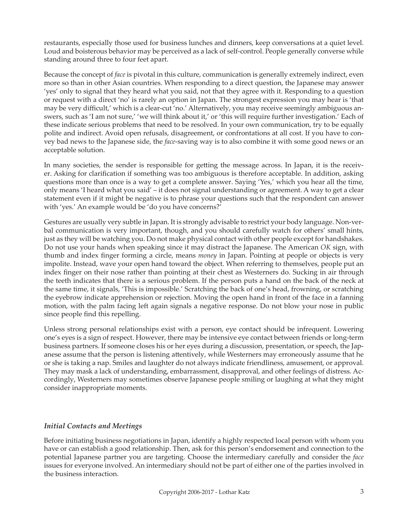restaurants, especially those used for business lunches and dinners, keep conversations at a quiet level. Loud and boisterous behavior may be perceived as a lack of self-control. People generally converse while standing around three to four feet apart.

Because the concept of *face* is pivotal in this culture, communication is generally extremely indirect, even more so than in other Asian countries. When responding to a direct question, the Japanese may answer 'yes' only to signal that they heard what you said, not that they agree with it. Responding to a question or request with a direct 'no' is rarely an option in Japan. The strongest expression you may hear is 'that may be very difficult,' which is a clear-cut 'no.' Alternatively, you may receive seemingly ambiguous answers, such as 'I am not sure,' 'we will think about it,' or 'this will require further investigation.' Each of these indicate serious problems that need to be resolved. In your own communication, try to be equally polite and indirect. Avoid open refusals, disagreement, or confrontations at all cost. If you have to convey bad news to the Japanese side, the *face*-saving way is to also combine it with some good news or an acceptable solution.

In many societies, the sender is responsible for getting the message across. In Japan, it is the receiver. Asking for clarification if something was too ambiguous is therefore acceptable. In addition, asking questions more than once is a way to get a complete answer. Saying 'Yes,' which you hear all the time, only means 'I heard what you said' – it does not signal understanding or agreement. A way to get a clear statement even if it might be negative is to phrase your questions such that the respondent can answer with 'yes.' An example would be 'do you have concerns?'

Gestures are usually very subtle in Japan. It is strongly advisable to restrict your body language. Non-verbal communication is very important, though, and you should carefully watch for others' small hints, just as they will be watching you. Do not make physical contact with other people except for handshakes. Do not use your hands when speaking since it may distract the Japanese. The American *OK* sign, with thumb and index finger forming a circle, means *money* in Japan. Pointing at people or objects is very impolite. Instead, wave your open hand toward the object. When referring to themselves, people put an index finger on their nose rather than pointing at their chest as Westerners do. Sucking in air through the teeth indicates that there is a serious problem. If the person puts a hand on the back of the neck at the same time, it signals, 'This is impossible.' Scratching the back of one's head, frowning, or scratching the eyebrow indicate apprehension or rejection. Moving the open hand in front of the face in a fanning motion, with the palm facing left again signals a negative response. Do not blow your nose in public since people find this repelling.

Unless strong personal relationships exist with a person, eye contact should be infrequent. Lowering one's eyes is a sign of respect. However, there may be intensive eye contact between friends or long-term business partners. If someone closes his or her eyes during a discussion, presentation, or speech, the Japanese assume that the person is listening attentively, while Westerners may erroneously assume that he or she is taking a nap. Smiles and laughter do not always indicate friendliness, amusement, or approval. They may mask a lack of understanding, embarrassment, disapproval, and other feelings of distress. Accordingly, Westerners may sometimes observe Japanese people smiling or laughing at what they might consider inappropriate moments.

### *Initial Contacts and Meetings*

Before initiating business negotiations in Japan, identify a highly respected local person with whom you have or can establish a good relationship. Then, ask for this person's endorsement and connection to the potential Japanese partner you are targeting. Choose the intermediary carefully and consider the *face* issues for everyone involved. An intermediary should not be part of either one of the parties involved in the business interaction.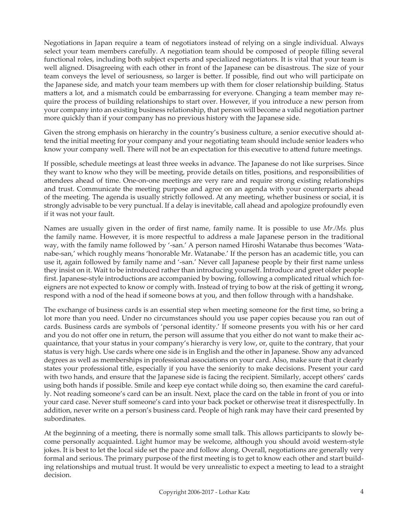Negotiations in Japan require a team of negotiators instead of relying on a single individual. Always select your team members carefully. A negotiation team should be composed of people filling several functional roles, including both subject experts and specialized negotiators. It is vital that your team is well aligned. Disagreeing with each other in front of the Japanese can be disastrous. The size of your team conveys the level of seriousness, so larger is better. If possible, find out who will participate on the Japanese side, and match your team members up with them for closer relationship building. Status matters a lot, and a mismatch could be embarrassing for everyone. Changing a team member may require the process of building relationships to start over. However, if you introduce a new person from your company into an existing business relationship, that person will become a valid negotiation partner more quickly than if your company has no previous history with the Japanese side.

Given the strong emphasis on hierarchy in the country's business culture, a senior executive should attend the initial meeting for your company and your negotiating team should include senior leaders who know your company well. There will not be an expectation for this executive to attend future meetings.

If possible, schedule meetings at least three weeks in advance. The Japanese do not like surprises. Since they want to know who they will be meeting, provide details on titles, positions, and responsibilities of attendees ahead of time. One-on-one meetings are very rare and require strong existing relationships and trust. Communicate the meeting purpose and agree on an agenda with your counterparts ahead of the meeting. The agenda is usually strictly followed. At any meeting, whether business or social, it is strongly advisable to be very punctual. If a delay is inevitable, call ahead and apologize profoundly even if it was not your fault.

Names are usually given in the order of first name, family name. It is possible to use *Mr./Ms.* plus the family name. However, it is more respectful to address a male Japanese person in the traditional way, with the family name followed by '-san.' A person named Hiroshi Watanabe thus becomes 'Watanabe-san,' which roughly means 'honorable Mr. Watanabe.' If the person has an academic title, you can use it, again followed by family name and '-san.' Never call Japanese people by their first name unless they insist on it. Wait to be introduced rather than introducing yourself. Introduce and greet older people first. Japanese-style introductions are accompanied by bowing, following a complicated ritual which foreigners are not expected to know or comply with. Instead of trying to bow at the risk of getting it wrong, respond with a nod of the head if someone bows at you, and then follow through with a handshake.

The exchange of business cards is an essential step when meeting someone for the first time, so bring a lot more than you need. Under no circumstances should you use paper copies because you ran out of cards. Business cards are symbols of 'personal identity.' If someone presents you with his or her card and you do not offer one in return, the person will assume that you either do not want to make their acquaintance, that your status in your company's hierarchy is very low, or, quite to the contrary, that your status is very high. Use cards where one side is in English and the other in Japanese. Show any advanced degrees as well as memberships in professional associations on your card. Also, make sure that it clearly states your professional title, especially if you have the seniority to make decisions. Present your card with two hands, and ensure that the Japanese side is facing the recipient. Similarly, accept others' cards using both hands if possible. Smile and keep eye contact while doing so, then examine the card carefully. Not reading someone's card can be an insult. Next, place the card on the table in front of you or into your card case. Never stuff someone's card into your back pocket or otherwise treat it disrespectfully. In addition, never write on a person's business card. People of high rank may have their card presented by subordinates.

At the beginning of a meeting, there is normally some small talk. This allows participants to slowly become personally acquainted. Light humor may be welcome, although you should avoid western-style jokes. It is best to let the local side set the pace and follow along. Overall, negotiations are generally very formal and serious. The primary purpose of the first meeting is to get to know each other and start building relationships and mutual trust. It would be very unrealistic to expect a meeting to lead to a straight decision.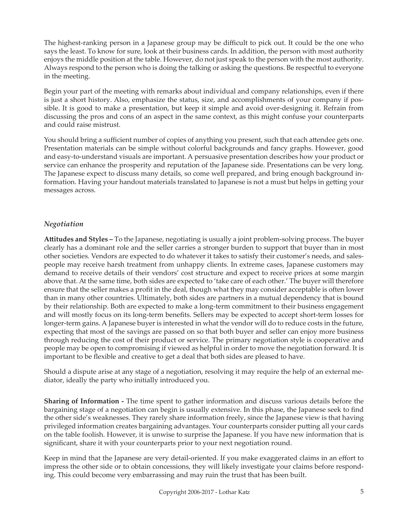The highest-ranking person in a Japanese group may be difficult to pick out. It could be the one who says the least. To know for sure, look at their business cards. In addition, the person with most authority enjoys the middle position at the table. However, do not just speak to the person with the most authority. Always respond to the person who is doing the talking or asking the questions. Be respectful to everyone in the meeting.

Begin your part of the meeting with remarks about individual and company relationships, even if there is just a short history. Also, emphasize the status, size, and accomplishments of your company if possible. It is good to make a presentation, but keep it simple and avoid over-designing it. Refrain from discussing the pros and cons of an aspect in the same context, as this might confuse your counterparts and could raise mistrust.

You should bring a sufficient number of copies of anything you present, such that each attendee gets one. Presentation materials can be simple without colorful backgrounds and fancy graphs. However, good and easy-to-understand visuals are important. A persuasive presentation describes how your product or service can enhance the prosperity and reputation of the Japanese side. Presentations can be very long. The Japanese expect to discuss many details, so come well prepared, and bring enough background information. Having your handout materials translated to Japanese is not a must but helps in getting your messages across.

### *Negotiation*

**Attitudes and Styles –** To the Japanese, negotiating is usually a joint problem-solving process. The buyer clearly has a dominant role and the seller carries a stronger burden to support that buyer than in most other societies. Vendors are expected to do whatever it takes to satisfy their customer's needs, and salespeople may receive harsh treatment from unhappy clients. In extreme cases, Japanese customers may demand to receive details of their vendors' cost structure and expect to receive prices at some margin above that. At the same time, both sides are expected to 'take care of each other.' The buyer will therefore ensure that the seller makes a profit in the deal, though what they may consider acceptable is often lower than in many other countries. Ultimately, both sides are partners in a mutual dependency that is bound by their relationship. Both are expected to make a long-term commitment to their business engagement and will mostly focus on its long-term benefits. Sellers may be expected to accept short-term losses for longer-term gains. A Japanese buyer is interested in what the vendor will do to reduce costs in the future, expecting that most of the savings are passed on so that both buyer and seller can enjoy more business through reducing the cost of their product or service. The primary negotiation style is cooperative and people may be open to compromising if viewed as helpful in order to move the negotiation forward. It is important to be flexible and creative to get a deal that both sides are pleased to have.

Should a dispute arise at any stage of a negotiation, resolving it may require the help of an external mediator, ideally the party who initially introduced you.

**Sharing of Information -** The time spent to gather information and discuss various details before the bargaining stage of a negotiation can begin is usually extensive. In this phase, the Japanese seek to find the other side's weaknesses. They rarely share information freely, since the Japanese view is that having privileged information creates bargaining advantages. Your counterparts consider putting all your cards on the table foolish. However, it is unwise to surprise the Japanese. If you have new information that is significant, share it with your counterparts prior to your next negotiation round.

Keep in mind that the Japanese are very detail-oriented. If you make exaggerated claims in an effort to impress the other side or to obtain concessions, they will likely investigate your claims before responding. This could become very embarrassing and may ruin the trust that has been built.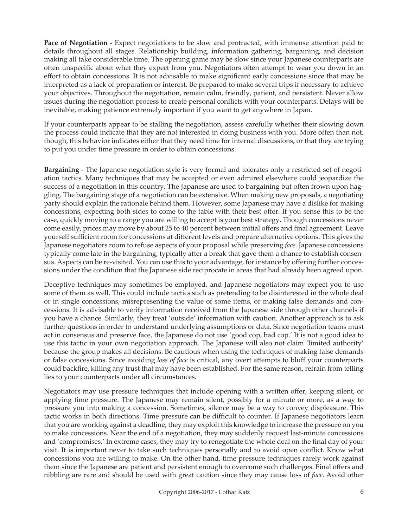**Pace of Negotiation -** Expect negotiations to be slow and protracted, with immense attention paid to details throughout all stages. Relationship building, information gathering, bargaining, and decision making all take considerable time. The opening game may be slow since your Japanese counterparts are often unspecific about what they expect from you. Negotiators often attempt to wear you down in an effort to obtain concessions. It is not advisable to make significant early concessions since that may be interpreted as a lack of preparation or interest. Be prepared to make several trips if necessary to achieve your objectives. Throughout the negotiation, remain calm, friendly, patient, and persistent. Never allow issues during the negotiation process to create personal conflicts with your counterparts. Delays will be inevitable, making patience extremely important if you want to get anywhere in Japan.

If your counterparts appear to be stalling the negotiation, assess carefully whether their slowing down the process could indicate that they are not interested in doing business with you. More often than not, though, this behavior indicates either that they need time for internal discussions, or that they are trying to put you under time pressure in order to obtain concessions.

**Bargaining -** The Japanese negotiation style is very formal and tolerates only a restricted set of negotiation tactics. Many techniques that may be accepted or even admired elsewhere could jeopardize the success of a negotiation in this country. The Japanese are used to bargaining but often frown upon haggling. The bargaining stage of a negotiation can be extensive. When making new proposals, a negotiating party should explain the rationale behind them. However, some Japanese may have a dislike for making concessions, expecting both sides to come to the table with their best offer. If you sense this to be the case, quickly moving to a range you are willing to accept is your best strategy. Though concessions never come easily, prices may move by about 25 to 40 percent between initial offers and final agreement. Leave yourself sufficient room for concessions at different levels and prepare alternative options. This gives the Japanese negotiators room to refuse aspects of your proposal while preserving *face*. Japanese concessions typically come late in the bargaining, typically after a break that gave them a chance to establish consensus. Aspects can be re-visited. You can use this to your advantage, for instance by offering further concessions under the condition that the Japanese side reciprocate in areas that had already been agreed upon.

Deceptive techniques may sometimes be employed, and Japanese negotiators may expect you to use some of them as well. This could include tactics such as pretending to be disinterested in the whole deal or in single concessions, misrepresenting the value of some items, or making false demands and concessions. It is advisable to verify information received from the Japanese side through other channels if you have a chance. Similarly, they treat 'outside' information with caution. Another approach is to ask further questions in order to understand underlying assumptions or data. Since negotiation teams must act in consensus and preserve face, the Japanese do not use 'good cop, bad cop.' It is not a good idea to use this tactic in your own negotiation approach. The Japanese will also not claim 'limited authority' because the group makes all decisions. Be cautious when using the techniques of making false demands or false concessions. Since avoiding *loss of face* is critical, any overt attempts to bluff your counterparts could backfire, killing any trust that may have been established. For the same reason, refrain from telling lies to your counterparts under all circumstances.

Negotiators may use pressure techniques that include opening with a written offer, keeping silent, or applying time pressure. The Japanese may remain silent, possibly for a minute or more, as a way to pressure you into making a concession. Sometimes, silence may be a way to convey displeasure. This tactic works in both directions. Time pressure can be difficult to counter. If Japanese negotiators learn that you are working against a deadline, they may exploit this knowledge to increase the pressure on you to make concessions. Near the end of a negotiation, they may suddenly request last-minute concessions and 'compromises.' In extreme cases, they may try to renegotiate the whole deal on the final day of your visit. It is important never to take such techniques personally and to avoid open conflict. Know what concessions you are willing to make. On the other hand, time pressure techniques rarely work against them since the Japanese are patient and persistent enough to overcome such challenges. Final offers and nibbling are rare and should be used with great caution since they may cause loss of *face*. Avoid other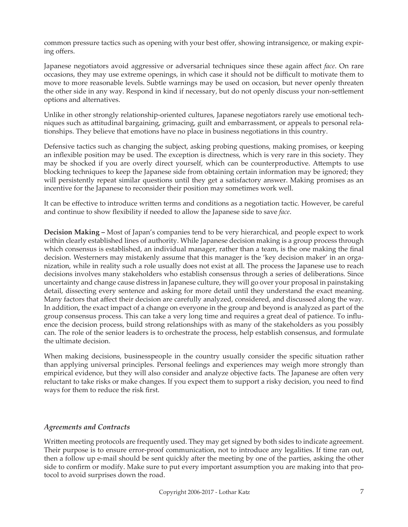common pressure tactics such as opening with your best offer, showing intransigence, or making expiring offers.

Japanese negotiators avoid aggressive or adversarial techniques since these again affect *face*. On rare occasions, they may use extreme openings, in which case it should not be difficult to motivate them to move to more reasonable levels. Subtle warnings may be used on occasion, but never openly threaten the other side in any way. Respond in kind if necessary, but do not openly discuss your non-settlement options and alternatives.

Unlike in other strongly relationship-oriented cultures, Japanese negotiators rarely use emotional techniques such as attitudinal bargaining, grimacing, guilt and embarrassment, or appeals to personal relationships. They believe that emotions have no place in business negotiations in this country.

Defensive tactics such as changing the subject, asking probing questions, making promises, or keeping an inflexible position may be used. The exception is directness, which is very rare in this society. They may be shocked if you are overly direct yourself, which can be counterproductive. Attempts to use blocking techniques to keep the Japanese side from obtaining certain information may be ignored; they will persistently repeat similar questions until they get a satisfactory answer. Making promises as an incentive for the Japanese to reconsider their position may sometimes work well.

It can be effective to introduce written terms and conditions as a negotiation tactic. However, be careful and continue to show flexibility if needed to allow the Japanese side to save *face*.

**Decision Making –** Most of Japan's companies tend to be very hierarchical, and people expect to work within clearly established lines of authority. While Japanese decision making is a group process through which consensus is established, an individual manager, rather than a team, is the one making the final decision. Westerners may mistakenly assume that this manager is the 'key decision maker' in an organization, while in reality such a role usually does not exist at all. The process the Japanese use to reach decisions involves many stakeholders who establish consensus through a series of deliberations. Since uncertainty and change cause distress in Japanese culture, they will go over your proposal in painstaking detail, dissecting every sentence and asking for more detail until they understand the exact meaning. Many factors that affect their decision are carefully analyzed, considered, and discussed along the way. In addition, the exact impact of a change on everyone in the group and beyond is analyzed as part of the group consensus process. This can take a very long time and requires a great deal of patience. To influence the decision process, build strong relationships with as many of the stakeholders as you possibly can. The role of the senior leaders is to orchestrate the process, help establish consensus, and formulate the ultimate decision.

When making decisions, businesspeople in the country usually consider the specific situation rather than applying universal principles. Personal feelings and experiences may weigh more strongly than empirical evidence, but they will also consider and analyze objective facts. The Japanese are often very reluctant to take risks or make changes. If you expect them to support a risky decision, you need to find ways for them to reduce the risk first.

### *Agreements and Contracts*

Written meeting protocols are frequently used. They may get signed by both sides to indicate agreement. Their purpose is to ensure error-proof communication, not to introduce any legalities. If time ran out, then a follow up e-mail should be sent quickly after the meeting by one of the parties, asking the other side to confirm or modify. Make sure to put every important assumption you are making into that protocol to avoid surprises down the road.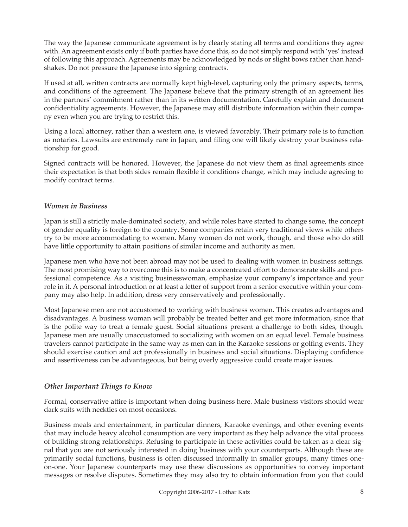The way the Japanese communicate agreement is by clearly stating all terms and conditions they agree with. An agreement exists only if both parties have done this, so do not simply respond with 'yes' instead of following this approach. Agreements may be acknowledged by nods or slight bows rather than handshakes. Do not pressure the Japanese into signing contracts.

If used at all, written contracts are normally kept high-level, capturing only the primary aspects, terms, and conditions of the agreement. The Japanese believe that the primary strength of an agreement lies in the partners' commitment rather than in its written documentation. Carefully explain and document confidentiality agreements. However, the Japanese may still distribute information within their company even when you are trying to restrict this.

Using a local attorney, rather than a western one, is viewed favorably. Their primary role is to function as notaries. Lawsuits are extremely rare in Japan, and filing one will likely destroy your business relationship for good.

Signed contracts will be honored. However, the Japanese do not view them as final agreements since their expectation is that both sides remain flexible if conditions change, which may include agreeing to modify contract terms.

### *Women in Business*

Japan is still a strictly male-dominated society, and while roles have started to change some, the concept of gender equality is foreign to the country. Some companies retain very traditional views while others try to be more accommodating to women. Many women do not work, though, and those who do still have little opportunity to attain positions of similar income and authority as men.

Japanese men who have not been abroad may not be used to dealing with women in business settings. The most promising way to overcome this is to make a concentrated effort to demonstrate skills and professional competence. As a visiting businesswoman, emphasize your company's importance and your role in it. A personal introduction or at least a letter of support from a senior executive within your company may also help. In addition, dress very conservatively and professionally.

Most Japanese men are not accustomed to working with business women. This creates advantages and disadvantages. A business woman will probably be treated better and get more information, since that is the polite way to treat a female guest. Social situations present a challenge to both sides, though. Japanese men are usually unaccustomed to socializing with women on an equal level. Female business travelers cannot participate in the same way as men can in the Karaoke sessions or golfing events. They should exercise caution and act professionally in business and social situations. Displaying confidence and assertiveness can be advantageous, but being overly aggressive could create major issues.

### *Other Important Things to Know*

Formal, conservative attire is important when doing business here. Male business visitors should wear dark suits with neckties on most occasions.

Business meals and entertainment, in particular dinners, Karaoke evenings, and other evening events that may include heavy alcohol consumption are very important as they help advance the vital process of building strong relationships. Refusing to participate in these activities could be taken as a clear signal that you are not seriously interested in doing business with your counterparts. Although these are primarily social functions, business is often discussed informally in smaller groups, many times oneon-one. Your Japanese counterparts may use these discussions as opportunities to convey important messages or resolve disputes. Sometimes they may also try to obtain information from you that could